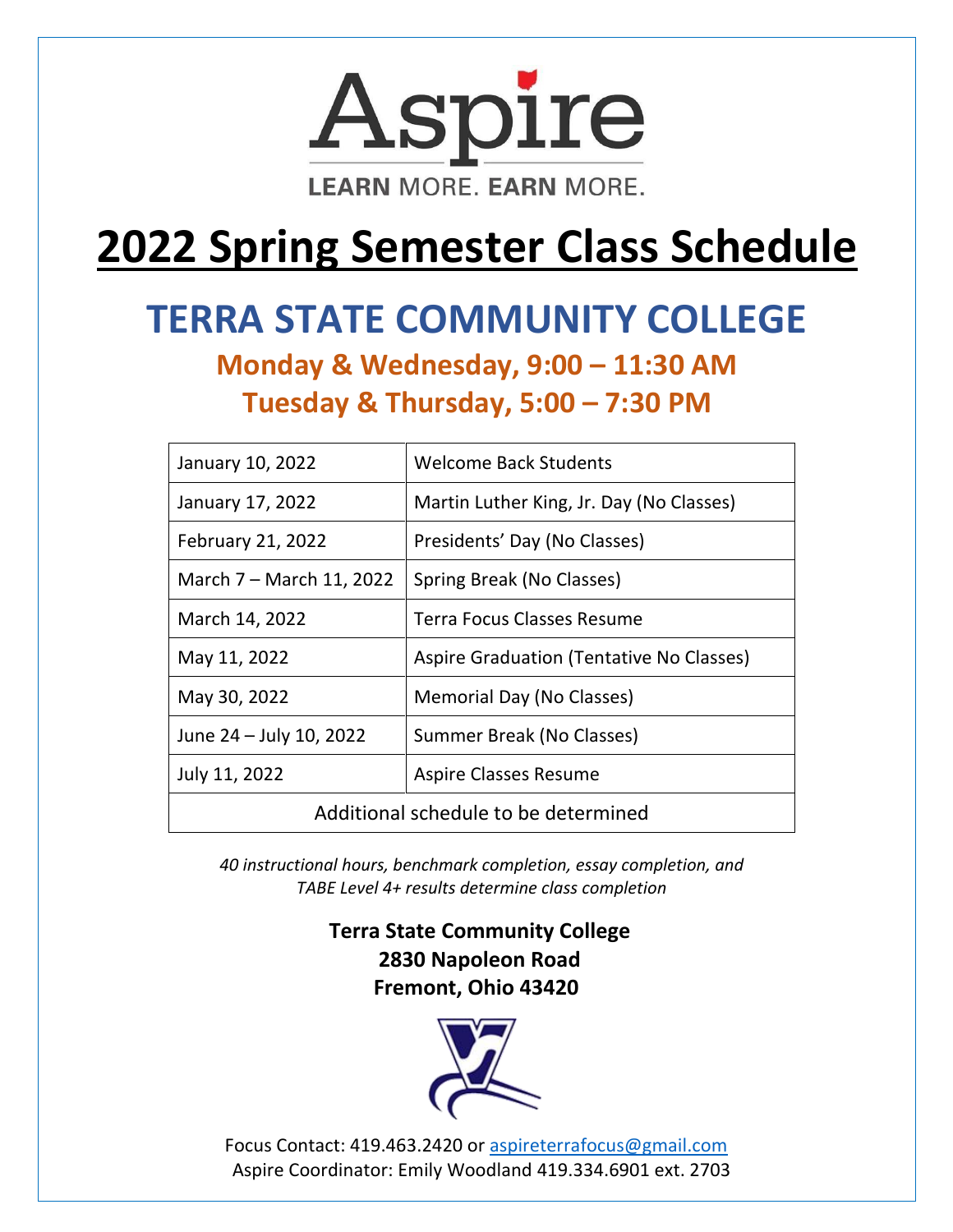

# **2022 Spring Semester Class Schedule**

## **TERRA STATE COMMUNITY COLLEGE Monday & Wednesday, 9:00 – 11:30 AM Tuesday & Thursday, 5:00 – 7:30 PM**

| January 10, 2022                     | <b>Welcome Back Students</b>             |
|--------------------------------------|------------------------------------------|
| January 17, 2022                     | Martin Luther King, Jr. Day (No Classes) |
| February 21, 2022                    | Presidents' Day (No Classes)             |
| March 7 – March 11, 2022             | Spring Break (No Classes)                |
| March 14, 2022                       | Terra Focus Classes Resume               |
| May 11, 2022                         | Aspire Graduation (Tentative No Classes) |
| May 30, 2022                         | Memorial Day (No Classes)                |
| June 24 - July 10, 2022              | Summer Break (No Classes)                |
| July 11, 2022                        | <b>Aspire Classes Resume</b>             |
| Additional schedule to be determined |                                          |

*40 instructional hours, benchmark completion, essay completion, and TABE Level 4+ results determine class completion*

### **Terra State Community College 2830 Napoleon Road Fremont, Ohio 43420**



Focus Contact: 419.463.2420 or [aspireterrafocus@gmail.com](mailto:aspireterrafocus@gmail.com)  Aspire Coordinator: Emily Woodland 419.334.6901 ext. 2703